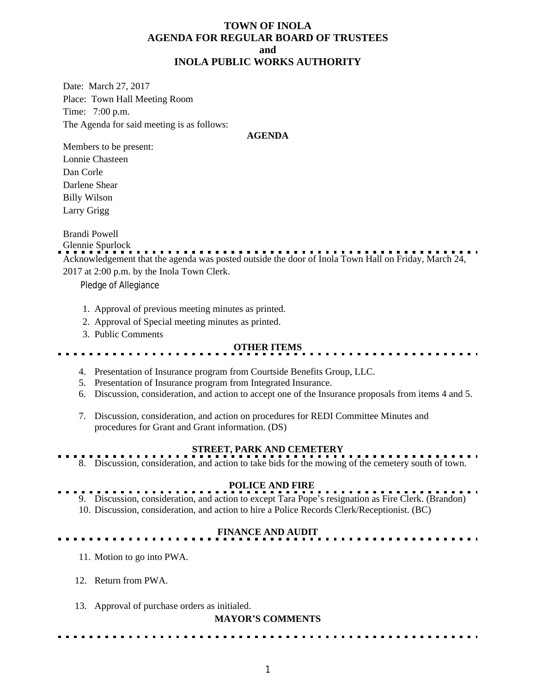## **TOWN OF INOLA AGENDA FOR REGULAR BOARD OF TRUSTEES and INOLA PUBLIC WORKS AUTHORITY**

Date: March 27, 2017 Place: Town Hall Meeting Room Time: 7:00 p.m. The Agenda for said meeting is as follows:

#### **AGENDA**

Members to be present: Lonnie Chasteen Dan Corle Darlene Shear Billy Wilson Larry Grigg

Brandi Powell

Glennie Spurlock

Acknowledgement that the agenda was posted outside the door of Inola Town Hall on Friday, March 24, 2017 at 2:00 p.m. by the Inola Town Clerk.

Pledge of Allegiance

- 1. Approval of previous meeting minutes as printed.
- 2. Approval of Special meeting minutes as printed.
- 3. Public Comments

### **OTHER ITEMS**

- 4. Presentation of Insurance program from Courtside Benefits Group, LLC.
- 5. Presentation of Insurance program from Integrated Insurance.
- 6. Discussion, consideration, and action to accept one of the Insurance proposals from items 4 and 5.
- 7. Discussion, consideration, and action on procedures for REDI Committee Minutes and procedures for Grant and Grant information. (DS)

# **STREET, PARK AND CEMETERY**

8. Discussion, consideration, and action to take bids for the mowing of the cemetery south of town.

### **POLICE AND FIRE**

9. Discussion, consideration, and action to except Tara Pope's resignation as Fire Clerk. (Brandon) 10. Discussion, consideration, and action to hire a Police Records Clerk/Receptionist. (BC)

### **FINANCE AND AUDIT**

- 11. Motion to go into PWA.
- 12. Return from PWA.
- 13. Approval of purchase orders as initialed.

#### **MAYOR'S COMMENTS**